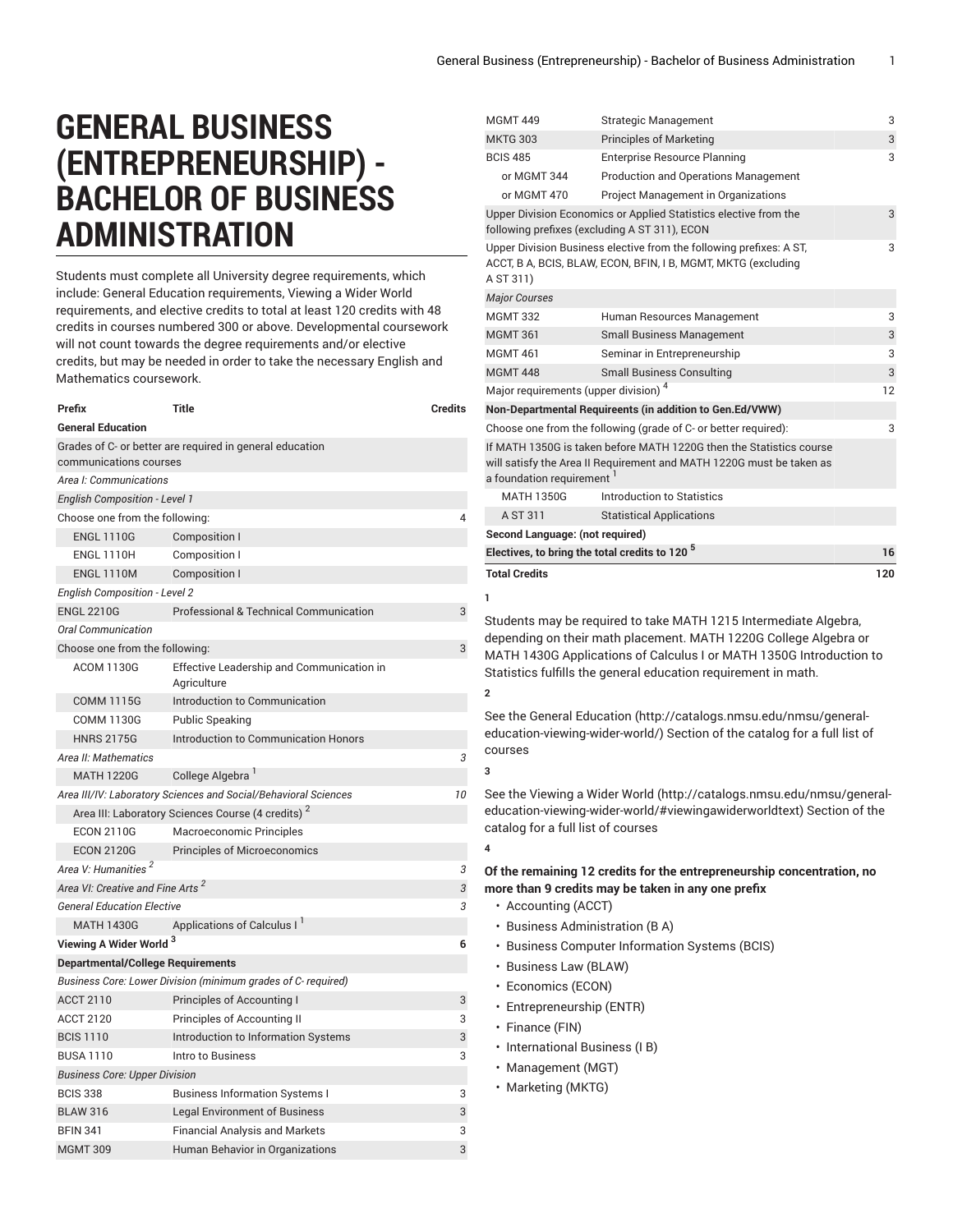## **GENERAL BUSINESS (ENTREPRENEURSHIP) - BACHELOR OF BUSINESS ADMINISTRATION**

Students must complete all University degree requirements, which include: General Education requirements, Viewing a Wider World requirements, and elective credits to total at least 120 credits with 48 credits in courses numbered 300 or above. Developmental coursework will not count towards the degree requirements and/or elective credits, but may be needed in order to take the necessary English and Mathematics coursework.

| Prefix                                       | Title                                                           | <b>Credits</b> |
|----------------------------------------------|-----------------------------------------------------------------|----------------|
| <b>General Education</b>                     |                                                                 |                |
| communications courses                       | Grades of C- or better are required in general education        |                |
| Area I: Communications                       |                                                                 |                |
| <b>English Composition - Level 1</b>         |                                                                 |                |
| Choose one from the following:               |                                                                 | 4              |
| <b>ENGL 1110G</b>                            | Composition I                                                   |                |
| <b>ENGL 1110H</b>                            | Composition I                                                   |                |
| <b>ENGL 1110M</b>                            | Composition I                                                   |                |
| <b>English Composition - Level 2</b>         |                                                                 |                |
| <b>ENGL 2210G</b>                            | <b>Professional &amp; Technical Communication</b>               | 3              |
| <b>Oral Communication</b>                    |                                                                 |                |
| Choose one from the following:               |                                                                 | 3              |
| <b>ACOM 1130G</b>                            | Effective Leadership and Communication in<br>Agriculture        |                |
| <b>COMM 1115G</b>                            | Introduction to Communication                                   |                |
| <b>COMM 1130G</b>                            | <b>Public Speaking</b>                                          |                |
| <b>HNRS 2175G</b>                            | Introduction to Communication Honors                            |                |
| Area II: Mathematics                         |                                                                 | 3              |
| <b>MATH 1220G</b>                            | College Algebra <sup>1</sup>                                    |                |
|                                              | Area III/IV: Laboratory Sciences and Social/Behavioral Sciences | 10             |
|                                              | Area III: Laboratory Sciences Course (4 credits) <sup>2</sup>   |                |
| <b>ECON 2110G</b>                            | Macroeconomic Principles                                        |                |
| <b>ECON 2120G</b>                            | <b>Principles of Microeconomics</b>                             |                |
| Area V: Humanities <sup>2</sup>              |                                                                 | 3              |
| Area VI: Creative and Fine Arts <sup>2</sup> |                                                                 | 3              |
| <b>General Education Elective</b>            |                                                                 | 3              |
| <b>MATH 1430G</b>                            | Applications of Calculus I                                      |                |
| Viewing A Wider World <sup>3</sup>           |                                                                 | 6              |
| <b>Departmental/College Requirements</b>     |                                                                 |                |
|                                              | Business Core: Lower Division (minimum grades of C- required)   |                |
| <b>ACCT 2110</b>                             | Principles of Accounting I                                      | 3              |
| <b>ACCT 2120</b>                             | Principles of Accounting II                                     | 3              |
| <b>BCIS 1110</b>                             | Introduction to Information Systems                             | 3              |
| <b>BUSA 1110</b>                             | Intro to Business                                               | 3              |
| <b>Business Core: Upper Division</b>         |                                                                 |                |
| <b>BCIS 338</b>                              | <b>Business Information Systems I</b>                           | 3              |
| <b>BLAW 316</b>                              | <b>Legal Environment of Business</b>                            | 3              |
| <b>BFIN 341</b>                              | <b>Financial Analysis and Markets</b>                           | 3              |
| <b>MGMT 309</b>                              | Human Behavior in Organizations                                 | 3              |

|                                                  |                                                                                                                                                                                                           | 3   |
|--------------------------------------------------|-----------------------------------------------------------------------------------------------------------------------------------------------------------------------------------------------------------|-----|
| <b>MGMT 449</b>                                  | <b>Strategic Management</b>                                                                                                                                                                               |     |
| <b>MKTG 303</b>                                  | <b>Principles of Marketing</b>                                                                                                                                                                            | 3   |
| <b>BCIS 485</b>                                  | <b>Enterprise Resource Planning</b>                                                                                                                                                                       | 3   |
| or MGMT 344                                      | <b>Production and Operations Management</b>                                                                                                                                                               |     |
| or MGMT 470                                      | Project Management in Organizations                                                                                                                                                                       |     |
|                                                  | Upper Division Economics or Applied Statistics elective from the<br>following prefixes (excluding A ST 311), ECON                                                                                         | 3   |
| A ST 311)                                        | Upper Division Business elective from the following prefixes: A ST,<br>ACCT, B A, BCIS, BLAW, ECON, BFIN, I B, MGMT, MKTG (excluding                                                                      | 3   |
| <b>Major Courses</b>                             |                                                                                                                                                                                                           |     |
| <b>MGMT 332</b>                                  | Human Resources Management                                                                                                                                                                                | 3   |
| <b>MGMT 361</b>                                  | <b>Small Business Management</b>                                                                                                                                                                          | 3   |
| <b>MGMT 461</b>                                  | Seminar in Entrepreneurship                                                                                                                                                                               | 3   |
| <b>MGMT 448</b>                                  | <b>Small Business Consulting</b>                                                                                                                                                                          | 3   |
| Major requirements (upper division) <sup>4</sup> |                                                                                                                                                                                                           | 12  |
|                                                  | Non-Departmental Requireents (in addition to Gen.Ed/VWW)                                                                                                                                                  |     |
|                                                  | Choose one from the following (grade of C- or better required):                                                                                                                                           | 3   |
| a foundation requirement <sup>1</sup>            | If MATH 1350G is taken before MATH 1220G then the Statistics course<br>will satisfy the Area II Requirement and MATH 1220G must be taken as                                                               |     |
| <b>MATH 1350G</b>                                | Introduction to Statistics                                                                                                                                                                                |     |
| A ST 311                                         | <b>Statistical Applications</b>                                                                                                                                                                           |     |
| Second Language: (not required)                  |                                                                                                                                                                                                           |     |
|                                                  | Electives, to bring the total credits to 120 <sup>5</sup>                                                                                                                                                 | 16  |
| <b>Total Credits</b><br>1                        | Students may be required to take MATH 1215 Intermediate Algebra,                                                                                                                                          | 120 |
| 2                                                | depending on their math placement. MATH 1220G College Algebra or<br>MATH 1430G Applications of Calculus I or MATH 1350G Introduction to<br>Statistics fulfills the general education requirement in math. |     |
| courses                                          | See the General Education (http://catalogs.nmsu.edu/nmsu/general-<br>education-viewing-wider-world/) Section of the catalog for a full list of                                                            |     |
| 3                                                |                                                                                                                                                                                                           |     |
| catalog for a full list of courses<br>4          | See the Viewing a Wider World (http://catalogs.nmsu.edu/nmsu/general-<br>education-viewing-wider-world/#viewingawiderworldtext) Section of the                                                            |     |
|                                                  |                                                                                                                                                                                                           |     |
|                                                  | Of the remaining 12 credits for the entrepreneurship concentration, no                                                                                                                                    |     |
|                                                  | more than 9 credits may be taken in any one prefix                                                                                                                                                        |     |
| • Accounting (ACCT)                              |                                                                                                                                                                                                           |     |
| · Business Administration (B A)                  |                                                                                                                                                                                                           |     |
|                                                  | • Business Computer Information Systems (BCIS)                                                                                                                                                            |     |
| • Business Law (BLAW)                            |                                                                                                                                                                                                           |     |
| • Economics (ECON)                               |                                                                                                                                                                                                           |     |
| • Entrepreneurship (ENTR)                        |                                                                                                                                                                                                           |     |
| · Finance (FIN)                                  |                                                                                                                                                                                                           |     |
| · International Business (I B)                   |                                                                                                                                                                                                           |     |
| • Management (MGT)                               |                                                                                                                                                                                                           |     |
| • Marketing (MKTG)                               |                                                                                                                                                                                                           |     |
|                                                  |                                                                                                                                                                                                           |     |
|                                                  |                                                                                                                                                                                                           |     |